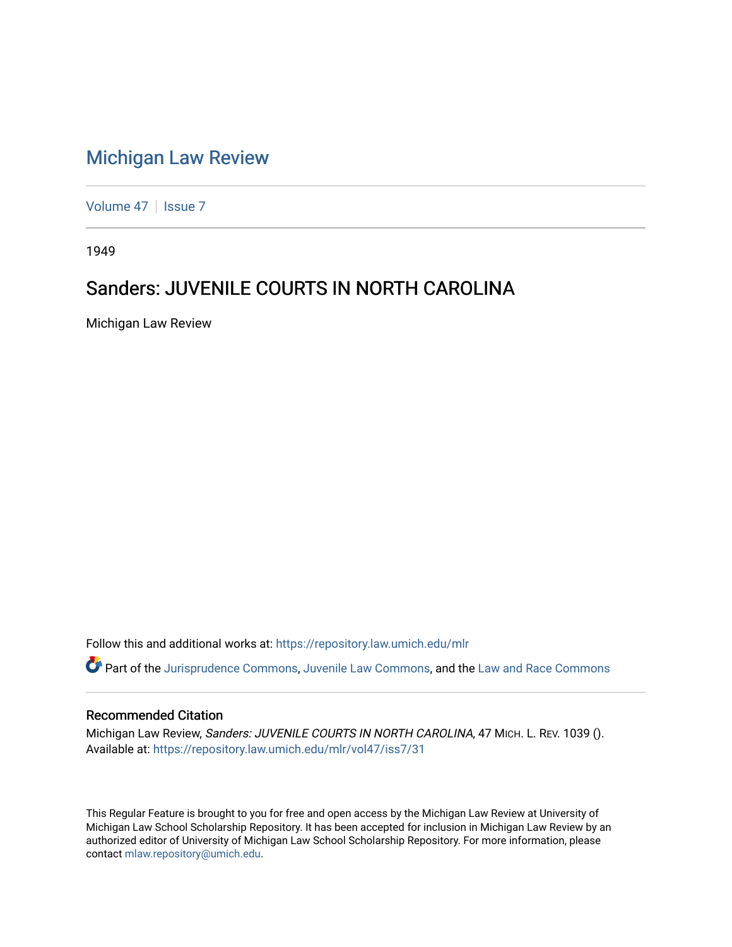## [Michigan Law Review](https://repository.law.umich.edu/mlr)

[Volume 47](https://repository.law.umich.edu/mlr/vol47) | [Issue 7](https://repository.law.umich.edu/mlr/vol47/iss7)

1949

## Sanders: JUVENILE COURTS IN NORTH CAROLINA

Michigan Law Review

Follow this and additional works at: [https://repository.law.umich.edu/mlr](https://repository.law.umich.edu/mlr?utm_source=repository.law.umich.edu%2Fmlr%2Fvol47%2Fiss7%2F31&utm_medium=PDF&utm_campaign=PDFCoverPages) 

Part of the [Jurisprudence Commons](http://network.bepress.com/hgg/discipline/610?utm_source=repository.law.umich.edu%2Fmlr%2Fvol47%2Fiss7%2F31&utm_medium=PDF&utm_campaign=PDFCoverPages), [Juvenile Law Commons,](http://network.bepress.com/hgg/discipline/851?utm_source=repository.law.umich.edu%2Fmlr%2Fvol47%2Fiss7%2F31&utm_medium=PDF&utm_campaign=PDFCoverPages) and the [Law and Race Commons](http://network.bepress.com/hgg/discipline/1300?utm_source=repository.law.umich.edu%2Fmlr%2Fvol47%2Fiss7%2F31&utm_medium=PDF&utm_campaign=PDFCoverPages) 

## Recommended Citation

Michigan Law Review, Sanders: JUVENILE COURTS IN NORTH CAROLINA, 47 MICH. L. REV. 1039 (). Available at: [https://repository.law.umich.edu/mlr/vol47/iss7/31](https://repository.law.umich.edu/mlr/vol47/iss7/31?utm_source=repository.law.umich.edu%2Fmlr%2Fvol47%2Fiss7%2F31&utm_medium=PDF&utm_campaign=PDFCoverPages) 

This Regular Feature is brought to you for free and open access by the Michigan Law Review at University of Michigan Law School Scholarship Repository. It has been accepted for inclusion in Michigan Law Review by an authorized editor of University of Michigan Law School Scholarship Repository. For more information, please contact [mlaw.repository@umich.edu](mailto:mlaw.repository@umich.edu).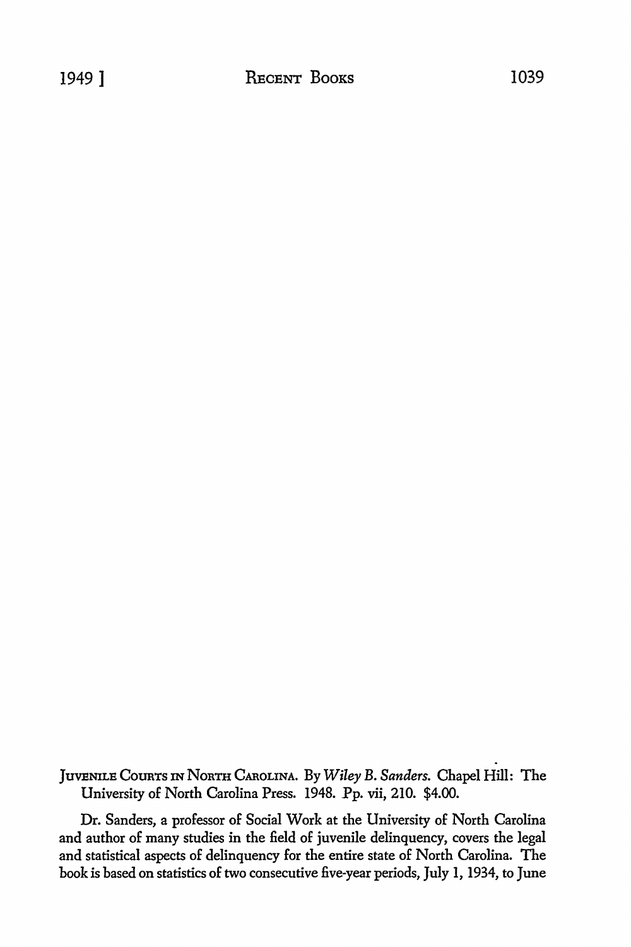JUVENILE CotmTs IN NoRTH CAROLINA. By *Wiley* B. *Sanders.* Chapel Hill: The University of North Carolina Press. 1948. Pp. vii, 210. \$4.00.

Dr. Sanders, a professor of Social Work at the University of North Carolina and author of many studies in the field of juvenile delinquency, covers the legal and statistical aspects of delinquency for the entire state of North Carolina. The book is based on statistics of two consecutive five-year periods, July 1, 1934, to June